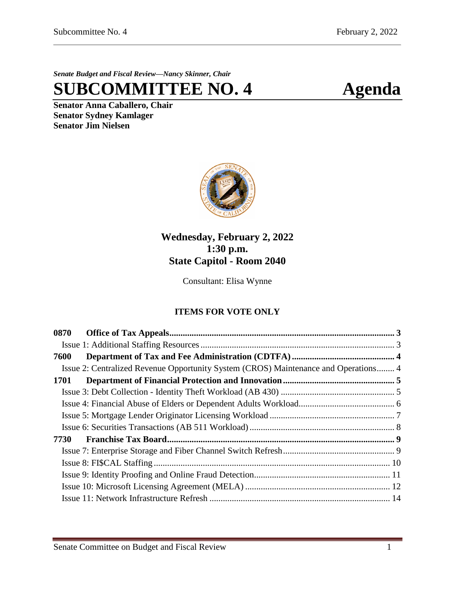*Senate Budget and Fiscal Review—Nancy Skinner, Chair*

**SUBCOMMITTEE NO. 4 Agenda**

**Senator Anna Caballero, Chair Senator Sydney Kamlager Senator Jim Nielsen**



# **Wednesday, February 2, 2022 1:30 p.m. State Capitol - Room 2040**

Consultant: Elisa Wynne

# **ITEMS FOR VOTE ONLY**

| 0870 |                                                                                     |  |
|------|-------------------------------------------------------------------------------------|--|
|      |                                                                                     |  |
| 7600 |                                                                                     |  |
|      | Issue 2: Centralized Revenue Opportunity System (CROS) Maintenance and Operations 4 |  |
| 1701 |                                                                                     |  |
|      |                                                                                     |  |
|      |                                                                                     |  |
|      |                                                                                     |  |
|      |                                                                                     |  |
| 7730 |                                                                                     |  |
|      |                                                                                     |  |
|      |                                                                                     |  |
|      |                                                                                     |  |
|      |                                                                                     |  |
|      |                                                                                     |  |
|      |                                                                                     |  |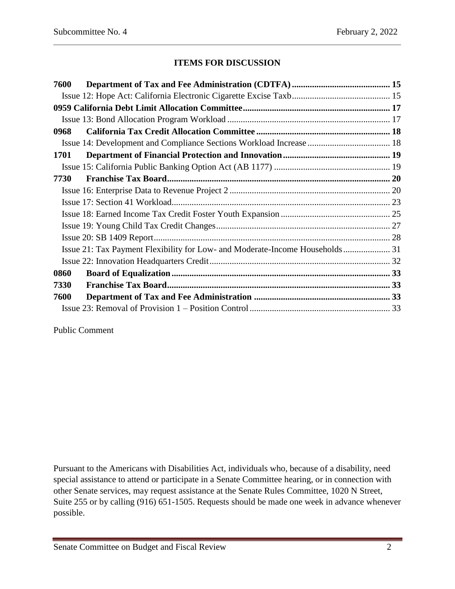## **ITEMS FOR DISCUSSION**

| 7600                                                                         |  |
|------------------------------------------------------------------------------|--|
|                                                                              |  |
|                                                                              |  |
|                                                                              |  |
| 0968                                                                         |  |
|                                                                              |  |
| 1701                                                                         |  |
|                                                                              |  |
| 7730                                                                         |  |
|                                                                              |  |
|                                                                              |  |
|                                                                              |  |
|                                                                              |  |
|                                                                              |  |
| Issue 21: Tax Payment Flexibility for Low- and Moderate-Income Households 31 |  |
|                                                                              |  |
| 0860                                                                         |  |
| 7330                                                                         |  |
| 7600                                                                         |  |
|                                                                              |  |

Public Comment

Pursuant to the Americans with Disabilities Act, individuals who, because of a disability, need special assistance to attend or participate in a Senate Committee hearing, or in connection with other Senate services, may request assistance at the Senate Rules Committee, 1020 N Street, Suite 255 or by calling (916) 651-1505. Requests should be made one week in advance whenever possible.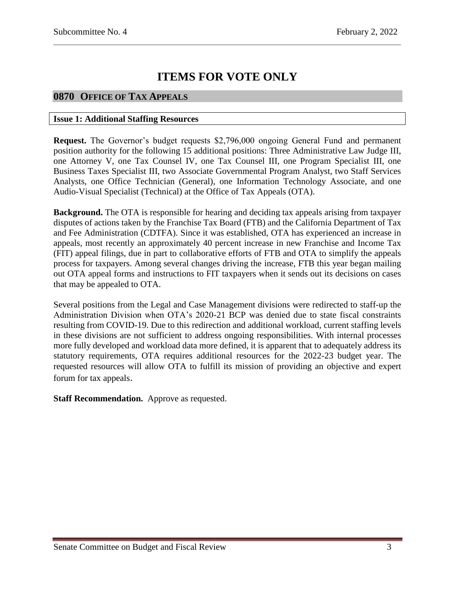# **ITEMS FOR VOTE ONLY**

# <span id="page-2-0"></span>**0870 OFFICE OF TAX APPEALS**

#### <span id="page-2-1"></span>**Issue 1: Additional Staffing Resources**

**Request.** The Governor's budget requests \$2,796,000 ongoing General Fund and permanent position authority for the following 15 additional positions: Three Administrative Law Judge III, one Attorney V, one Tax Counsel IV, one Tax Counsel III, one Program Specialist III, one Business Taxes Specialist III, two Associate Governmental Program Analyst, two Staff Services Analysts, one Office Technician (General), one Information Technology Associate, and one Audio-Visual Specialist (Technical) at the Office of Tax Appeals (OTA).

**Background.** The OTA is responsible for hearing and deciding tax appeals arising from taxpayer disputes of actions taken by the Franchise Tax Board (FTB) and the California Department of Tax and Fee Administration (CDTFA). Since it was established, OTA has experienced an increase in appeals, most recently an approximately 40 percent increase in new Franchise and Income Tax (FIT) appeal filings, due in part to collaborative efforts of FTB and OTA to simplify the appeals process for taxpayers. Among several changes driving the increase, FTB this year began mailing out OTA appeal forms and instructions to FIT taxpayers when it sends out its decisions on cases that may be appealed to OTA.

Several positions from the Legal and Case Management divisions were redirected to staff-up the Administration Division when OTA's 2020-21 BCP was denied due to state fiscal constraints resulting from COVID-19. Due to this redirection and additional workload, current staffing levels in these divisions are not sufficient to address ongoing responsibilities. With internal processes more fully developed and workload data more defined, it is apparent that to adequately address its statutory requirements, OTA requires additional resources for the 2022-23 budget year. The requested resources will allow OTA to fulfill its mission of providing an objective and expert forum for tax appeals.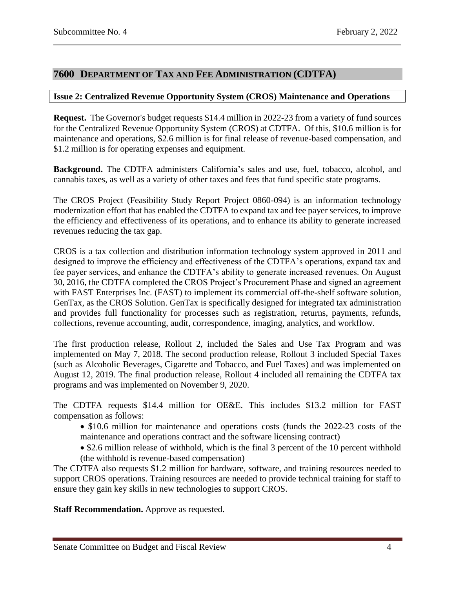## <span id="page-3-0"></span>**7600 DEPARTMENT OF TAX AND FEE ADMINISTRATION (CDTFA)**

#### <span id="page-3-1"></span>**Issue 2: Centralized Revenue Opportunity System (CROS) Maintenance and Operations**

**Request.** The Governor's budget requests \$14.4 million in 2022-23 from a variety of fund sources for the Centralized Revenue Opportunity System (CROS) at CDTFA. Of this, \$10.6 million is for maintenance and operations, \$2.6 million is for final release of revenue-based compensation, and \$1.2 million is for operating expenses and equipment.

**Background.** The CDTFA administers California's sales and use, fuel, tobacco, alcohol, and cannabis taxes, as well as a variety of other taxes and fees that fund specific state programs.

The CROS Project (Feasibility Study Report Project 0860-094) is an information technology modernization effort that has enabled the CDTFA to expand tax and fee payer services, to improve the efficiency and effectiveness of its operations, and to enhance its ability to generate increased revenues reducing the tax gap.

CROS is a tax collection and distribution information technology system approved in 2011 and designed to improve the efficiency and effectiveness of the CDTFA's operations, expand tax and fee payer services, and enhance the CDTFA's ability to generate increased revenues. On August 30, 2016, the CDTFA completed the CROS Project's Procurement Phase and signed an agreement with FAST Enterprises Inc. (FAST) to implement its commercial off-the-shelf software solution, GenTax, as the CROS Solution. GenTax is specifically designed for integrated tax administration and provides full functionality for processes such as registration, returns, payments, refunds, collections, revenue accounting, audit, correspondence, imaging, analytics, and workflow.

The first production release, Rollout 2, included the Sales and Use Tax Program and was implemented on May 7, 2018. The second production release, Rollout 3 included Special Taxes (such as Alcoholic Beverages, Cigarette and Tobacco, and Fuel Taxes) and was implemented on August 12, 2019. The final production release, Rollout 4 included all remaining the CDTFA tax programs and was implemented on November 9, 2020.

The CDTFA requests \$14.4 million for OE&E. This includes \$13.2 million for FAST compensation as follows:

- \$10.6 million for maintenance and operations costs (funds the 2022-23 costs of the maintenance and operations contract and the software licensing contract)
- \$2.6 million release of withhold, which is the final 3 percent of the 10 percent withhold (the withhold is revenue-based compensation)

The CDTFA also requests \$1.2 million for hardware, software, and training resources needed to support CROS operations. Training resources are needed to provide technical training for staff to ensure they gain key skills in new technologies to support CROS.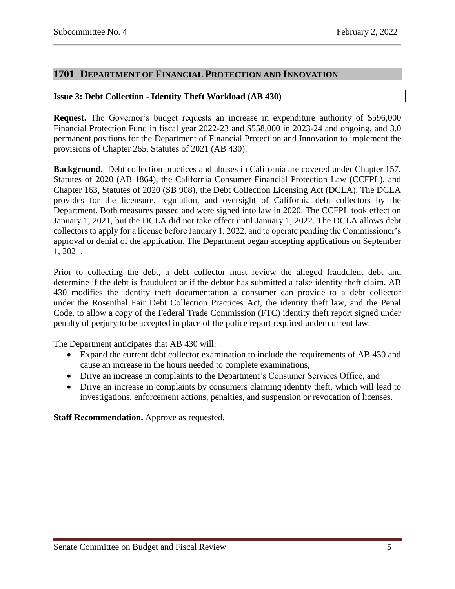## <span id="page-4-0"></span>**1701 DEPARTMENT OF FINANCIAL PROTECTION AND INNOVATION**

#### <span id="page-4-1"></span>**Issue 3: Debt Collection - Identity Theft Workload (AB 430)**

**Request.** The Governor's budget requests an increase in expenditure authority of \$596,000 Financial Protection Fund in fiscal year 2022-23 and \$558,000 in 2023-24 and ongoing, and 3.0 permanent positions for the Department of Financial Protection and Innovation to implement the provisions of Chapter 265, Statutes of 2021 (AB 430).

**Background.** Debt collection practices and abuses in California are covered under Chapter 157, Statutes of 2020 (AB 1864), the California Consumer Financial Protection Law (CCFPL), and Chapter 163, Statutes of 2020 (SB 908), the Debt Collection Licensing Act (DCLA). The DCLA provides for the licensure, regulation, and oversight of California debt collectors by the Department. Both measures passed and were signed into law in 2020. The CCFPL took effect on January 1, 2021, but the DCLA did not take effect until January 1, 2022. The DCLA allows debt collectors to apply for a license before January 1, 2022, and to operate pending the Commissioner's approval or denial of the application. The Department began accepting applications on September 1, 2021.

Prior to collecting the debt, a debt collector must review the alleged fraudulent debt and determine if the debt is fraudulent or if the debtor has submitted a false identity theft claim. AB 430 modifies the identity theft documentation a consumer can provide to a debt collector under the Rosenthal Fair Debt Collection Practices Act, the identity theft law, and the Penal Code, to allow a copy of the Federal Trade Commission (FTC) identity theft report signed under penalty of perjury to be accepted in place of the police report required under current law.

The Department anticipates that AB 430 will:

- Expand the current debt collector examination to include the requirements of AB 430 and cause an increase in the hours needed to complete examinations,
- Drive an increase in complaints to the Department's Consumer Services Office, and
- Drive an increase in complaints by consumers claiming identity theft, which will lead to investigations, enforcement actions, penalties, and suspension or revocation of licenses.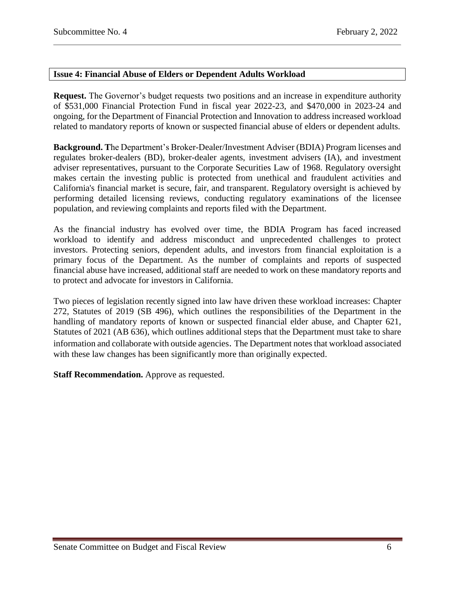## <span id="page-5-0"></span>**Issue 4: Financial Abuse of Elders or Dependent Adults Workload**

**Request.** The Governor's budget requests two positions and an increase in expenditure authority of \$531,000 Financial Protection Fund in fiscal year 2022-23, and \$470,000 in 2023-24 and ongoing, for the Department of Financial Protection and Innovation to address increased workload related to mandatory reports of known or suspected financial abuse of elders or dependent adults.

**Background. T**he Department's Broker-Dealer/Investment Adviser (BDIA) Program licenses and regulates broker-dealers (BD), broker-dealer agents, investment advisers (IA), and investment adviser representatives, pursuant to the Corporate Securities Law of 1968. Regulatory oversight makes certain the investing public is protected from unethical and fraudulent activities and California's financial market is secure, fair, and transparent. Regulatory oversight is achieved by performing detailed licensing reviews, conducting regulatory examinations of the licensee population, and reviewing complaints and reports filed with the Department.

As the financial industry has evolved over time, the BDIA Program has faced increased workload to identify and address misconduct and unprecedented challenges to protect investors. Protecting seniors, dependent adults, and investors from financial exploitation is a primary focus of the Department. As the number of complaints and reports of suspected financial abuse have increased, additional staff are needed to work on these mandatory reports and to protect and advocate for investors in California.

Two pieces of legislation recently signed into law have driven these workload increases: Chapter 272, Statutes of 2019 (SB 496), which outlines the responsibilities of the Department in the handling of mandatory reports of known or suspected financial elder abuse, and Chapter 621, Statutes of 2021 (AB 636), which outlines additional steps that the Department must take to share information and collaborate with outside agencies. The Department notes that workload associated with these law changes has been significantly more than originally expected.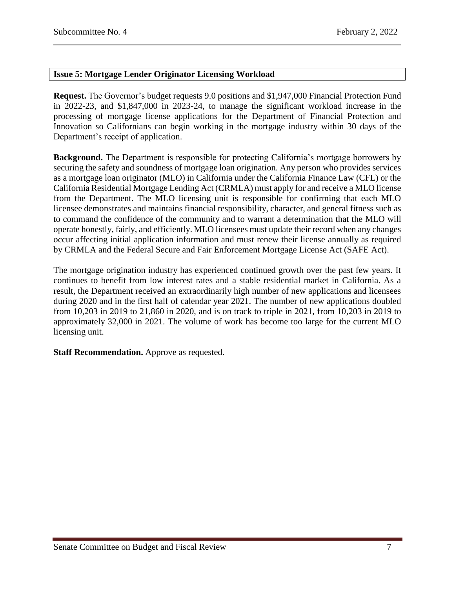## <span id="page-6-0"></span>**Issue 5: Mortgage Lender Originator Licensing Workload**

**Request.** The Governor's budget requests 9.0 positions and \$1,947,000 Financial Protection Fund in 2022-23, and \$1,847,000 in 2023-24, to manage the significant workload increase in the processing of mortgage license applications for the Department of Financial Protection and Innovation so Californians can begin working in the mortgage industry within 30 days of the Department's receipt of application.

**Background.** The Department is responsible for protecting California's mortgage borrowers by securing the safety and soundness of mortgage loan origination. Any person who provides services as a mortgage loan originator (MLO) in California under the California Finance Law (CFL) or the California Residential Mortgage Lending Act (CRMLA) must apply for and receive a MLO license from the Department. The MLO licensing unit is responsible for confirming that each MLO licensee demonstrates and maintains financial responsibility, character, and general fitness such as to command the confidence of the community and to warrant a determination that the MLO will operate honestly, fairly, and efficiently. MLO licensees must update their record when any changes occur affecting initial application information and must renew their license annually as required by CRMLA and the Federal Secure and Fair Enforcement Mortgage License Act (SAFE Act).

The mortgage origination industry has experienced continued growth over the past few years. It continues to benefit from low interest rates and a stable residential market in California. As a result, the Department received an extraordinarily high number of new applications and licensees during 2020 and in the first half of calendar year 2021. The number of new applications doubled from 10,203 in 2019 to 21,860 in 2020, and is on track to triple in 2021, from 10,203 in 2019 to approximately 32,000 in 2021. The volume of work has become too large for the current MLO licensing unit.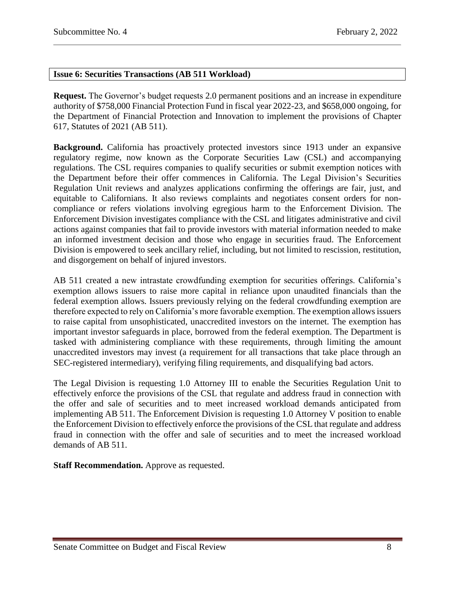## <span id="page-7-0"></span>**Issue 6: Securities Transactions (AB 511 Workload)**

**Request.** The Governor's budget requests 2.0 permanent positions and an increase in expenditure authority of \$758,000 Financial Protection Fund in fiscal year 2022-23, and \$658,000 ongoing, for the Department of Financial Protection and Innovation to implement the provisions of Chapter 617, Statutes of 2021 (AB 511).

**Background.** California has proactively protected investors since 1913 under an expansive regulatory regime, now known as the Corporate Securities Law (CSL) and accompanying regulations. The CSL requires companies to qualify securities or submit exemption notices with the Department before their offer commences in California. The Legal Division's Securities Regulation Unit reviews and analyzes applications confirming the offerings are fair, just, and equitable to Californians. It also reviews complaints and negotiates consent orders for noncompliance or refers violations involving egregious harm to the Enforcement Division. The Enforcement Division investigates compliance with the CSL and litigates administrative and civil actions against companies that fail to provide investors with material information needed to make an informed investment decision and those who engage in securities fraud. The Enforcement Division is empowered to seek ancillary relief, including, but not limited to rescission, restitution, and disgorgement on behalf of injured investors.

AB 511 created a new intrastate crowdfunding exemption for securities offerings. California's exemption allows issuers to raise more capital in reliance upon unaudited financials than the federal exemption allows. Issuers previously relying on the federal crowdfunding exemption are therefore expected to rely on California's more favorable exemption. The exemption allows issuers to raise capital from unsophisticated, unaccredited investors on the internet. The exemption has important investor safeguards in place, borrowed from the federal exemption. The Department is tasked with administering compliance with these requirements, through limiting the amount unaccredited investors may invest (a requirement for all transactions that take place through an SEC-registered intermediary), verifying filing requirements, and disqualifying bad actors.

The Legal Division is requesting 1.0 Attorney III to enable the Securities Regulation Unit to effectively enforce the provisions of the CSL that regulate and address fraud in connection with the offer and sale of securities and to meet increased workload demands anticipated from implementing AB 511. The Enforcement Division is requesting 1.0 Attorney V position to enable the Enforcement Division to effectively enforce the provisions of the CSL that regulate and address fraud in connection with the offer and sale of securities and to meet the increased workload demands of AB 511.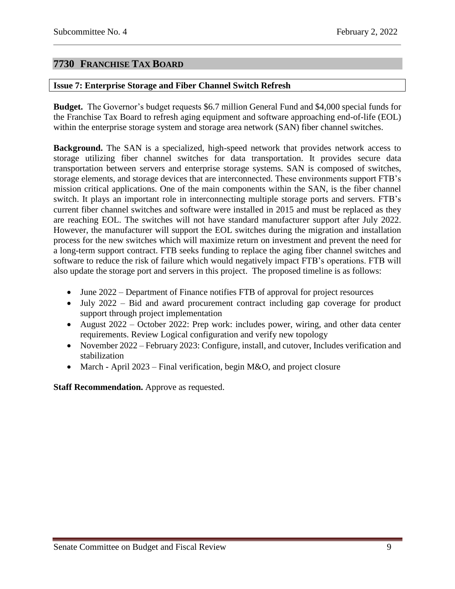# <span id="page-8-0"></span>**7730 FRANCHISE TAX BOARD**

## <span id="page-8-1"></span>**Issue 7: Enterprise Storage and Fiber Channel Switch Refresh**

**Budget.** The Governor's budget requests \$6.7 million General Fund and \$4,000 special funds for the Franchise Tax Board to refresh aging equipment and software approaching end-of-life (EOL) within the enterprise storage system and storage area network (SAN) fiber channel switches.

**Background.** The SAN is a specialized, high-speed network that provides network access to storage utilizing fiber channel switches for data transportation. It provides secure data transportation between servers and enterprise storage systems. SAN is composed of switches, storage elements, and storage devices that are interconnected. These environments support FTB's mission critical applications. One of the main components within the SAN, is the fiber channel switch. It plays an important role in interconnecting multiple storage ports and servers. FTB's current fiber channel switches and software were installed in 2015 and must be replaced as they are reaching EOL. The switches will not have standard manufacturer support after July 2022. However, the manufacturer will support the EOL switches during the migration and installation process for the new switches which will maximize return on investment and prevent the need for a long-term support contract. FTB seeks funding to replace the aging fiber channel switches and software to reduce the risk of failure which would negatively impact FTB's operations. FTB will also update the storage port and servers in this project. The proposed timeline is as follows:

- June 2022 Department of Finance notifies FTB of approval for project resources
- July 2022 Bid and award procurement contract including gap coverage for product support through project implementation
- August 2022 October 2022: Prep work: includes power, wiring, and other data center requirements. Review Logical configuration and verify new topology
- November 2022 February 2023: Configure, install, and cutover, Includes verification and stabilization
- March April 2023 Final verification, begin M&O, and project closure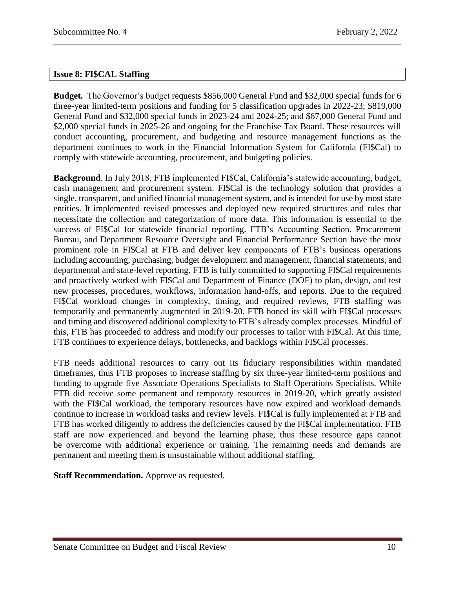## <span id="page-9-0"></span>**Issue 8: FI\$CAL Staffing**

**Budget.** The Governor's budget requests \$856,000 General Fund and \$32,000 special funds for 6 three-year limited-term positions and funding for 5 classification upgrades in 2022-23; \$819,000 General Fund and \$32,000 special funds in 2023-24 and 2024-25; and \$67,000 General Fund and \$2,000 special funds in 2025-26 and ongoing for the Franchise Tax Board. These resources will conduct accounting, procurement, and budgeting and resource management functions as the department continues to work in the Financial Information System for California (FI\$Cal) to comply with statewide accounting, procurement, and budgeting policies.

**Background**. In July 2018, FTB implemented FI\$Cal, California's statewide accounting, budget, cash management and procurement system. FI\$Cal is the technology solution that provides a single, transparent, and unified financial management system, and is intended for use by most state entities. It implemented revised processes and deployed new required structures and rules that necessitate the collection and categorization of more data. This information is essential to the success of FI\$Cal for statewide financial reporting. FTB's Accounting Section, Procurement Bureau, and Department Resource Oversight and Financial Performance Section have the most prominent role in FI\$Cal at FTB and deliver key components of FTB's business operations including accounting, purchasing, budget development and management, financial statements, and departmental and state-level reporting. FTB is fully committed to supporting FI\$Cal requirements and proactively worked with FI\$Cal and Department of Finance (DOF) to plan, design, and test new processes, procedures, workflows, information hand-offs, and reports. Due to the required FI\$Cal workload changes in complexity, timing, and required reviews, FTB staffing was temporarily and permanently augmented in 2019-20. FTB honed its skill with FI\$Cal processes and timing and discovered additional complexity to FTB's already complex processes. Mindful of this, FTB has proceeded to address and modify our processes to tailor with FI\$Cal. At this time, FTB continues to experience delays, bottlenecks, and backlogs within FI\$Cal processes.

FTB needs additional resources to carry out its fiduciary responsibilities within mandated timeframes, thus FTB proposes to increase staffing by six three-year limited-term positions and funding to upgrade five Associate Operations Specialists to Staff Operations Specialists. While FTB did receive some permanent and temporary resources in 2019-20, which greatly assisted with the FISCal workload, the temporary resources have now expired and workload demands continue to increase in workload tasks and review levels. FI\$Cal is fully implemented at FTB and FTB has worked diligently to address the deficiencies caused by the FI\$Cal implementation. FTB staff are now experienced and beyond the learning phase, thus these resource gaps cannot be overcome with additional experience or training. The remaining needs and demands are permanent and meeting them is unsustainable without additional staffing.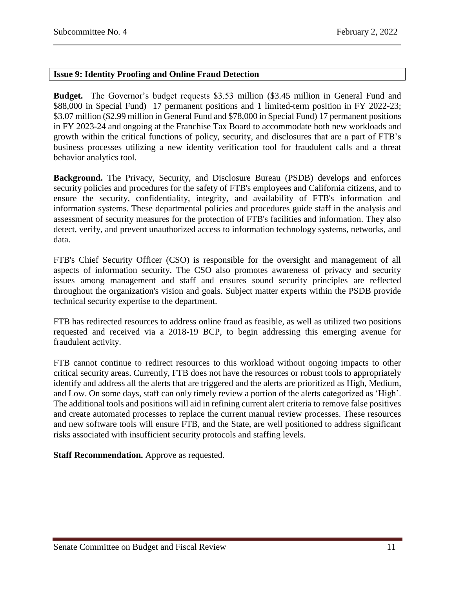## <span id="page-10-0"></span>**Issue 9: Identity Proofing and Online Fraud Detection**

**Budget.** The Governor's budget requests \$3.53 million (\$3.45 million in General Fund and \$88,000 in Special Fund) 17 permanent positions and 1 limited-term position in FY 2022-23; \$3.07 million (\$2.99 million in General Fund and \$78,000 in Special Fund) 17 permanent positions in FY 2023-24 and ongoing at the Franchise Tax Board to accommodate both new workloads and growth within the critical functions of policy, security, and disclosures that are a part of FTB's business processes utilizing a new identity verification tool for fraudulent calls and a threat behavior analytics tool.

**Background.** The Privacy, Security, and Disclosure Bureau (PSDB) develops and enforces security policies and procedures for the safety of FTB's employees and California citizens, and to ensure the security, confidentiality, integrity, and availability of FTB's information and information systems. These departmental policies and procedures guide staff in the analysis and assessment of security measures for the protection of FTB's facilities and information. They also detect, verify, and prevent unauthorized access to information technology systems, networks, and data.

FTB's Chief Security Officer (CSO) is responsible for the oversight and management of all aspects of information security. The CSO also promotes awareness of privacy and security issues among management and staff and ensures sound security principles are reflected throughout the organization's vision and goals. Subject matter experts within the PSDB provide technical security expertise to the department.

FTB has redirected resources to address online fraud as feasible, as well as utilized two positions requested and received via a 2018-19 BCP, to begin addressing this emerging avenue for fraudulent activity.

FTB cannot continue to redirect resources to this workload without ongoing impacts to other critical security areas. Currently, FTB does not have the resources or robust tools to appropriately identify and address all the alerts that are triggered and the alerts are prioritized as High, Medium, and Low. On some days, staff can only timely review a portion of the alerts categorized as 'High'. The additional tools and positions will aid in refining current alert criteria to remove false positives and create automated processes to replace the current manual review processes. These resources and new software tools will ensure FTB, and the State, are well positioned to address significant risks associated with insufficient security protocols and staffing levels.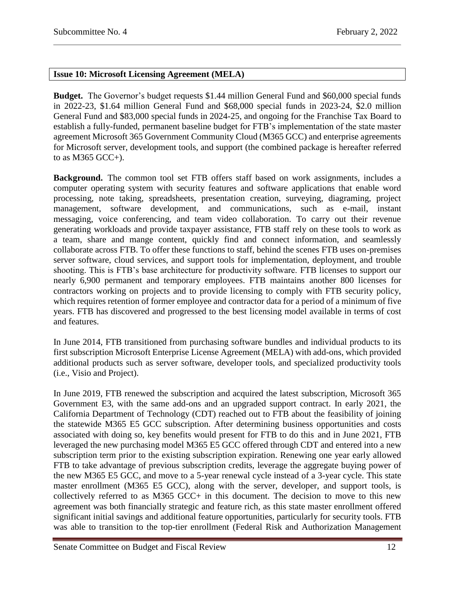## <span id="page-11-0"></span>**Issue 10: Microsoft Licensing Agreement (MELA)**

**Budget.** The Governor's budget requests \$1.44 million General Fund and \$60,000 special funds in 2022-23, \$1.64 million General Fund and \$68,000 special funds in 2023-24, \$2.0 million General Fund and \$83,000 special funds in 2024-25, and ongoing for the Franchise Tax Board to establish a fully-funded, permanent baseline budget for FTB's implementation of the state master agreement Microsoft 365 Government Community Cloud (M365 GCC) and enterprise agreements for Microsoft server, development tools, and support (the combined package is hereafter referred to as M365 GCC+).

**Background.** The common tool set FTB offers staff based on work assignments, includes a computer operating system with security features and software applications that enable word processing, note taking, spreadsheets, presentation creation, surveying, diagraming, project management, software development, and communications, such as e-mail, instant messaging, voice conferencing, and team video collaboration. To carry out their revenue generating workloads and provide taxpayer assistance, FTB staff rely on these tools to work as a team, share and mange content, quickly find and connect information, and seamlessly collaborate across FTB. To offer these functions to staff, behind the scenes FTB uses on-premises server software, cloud services, and support tools for implementation, deployment, and trouble shooting. This is FTB's base architecture for productivity software. FTB licenses to support our nearly 6,900 permanent and temporary employees. FTB maintains another 800 licenses for contractors working on projects and to provide licensing to comply with FTB security policy, which requires retention of former employee and contractor data for a period of a minimum of five years. FTB has discovered and progressed to the best licensing model available in terms of cost and features.

In June 2014, FTB transitioned from purchasing software bundles and individual products to its first subscription Microsoft Enterprise License Agreement (MELA) with add-ons, which provided additional products such as server software, developer tools, and specialized productivity tools (i.e., Visio and Project).

In June 2019, FTB renewed the subscription and acquired the latest subscription, Microsoft 365 Government E3, with the same add-ons and an upgraded support contract. In early 2021, the California Department of Technology (CDT) reached out to FTB about the feasibility of joining the statewide M365 E5 GCC subscription. After determining business opportunities and costs associated with doing so, key benefits would present for FTB to do this and in June 2021, FTB leveraged the new purchasing model M365 E5 GCC offered through CDT and entered into a new subscription term prior to the existing subscription expiration. Renewing one year early allowed FTB to take advantage of previous subscription credits, leverage the aggregate buying power of the new M365 E5 GCC, and move to a 5-year renewal cycle instead of a 3-year cycle. This state master enrollment (M365 E5 GCC), along with the server, developer, and support tools, is collectively referred to as M365 GCC+ in this document. The decision to move to this new agreement was both financially strategic and feature rich, as this state master enrollment offered significant initial savings and additional feature opportunities, particularly for security tools. FTB was able to transition to the top-tier enrollment (Federal Risk and Authorization Management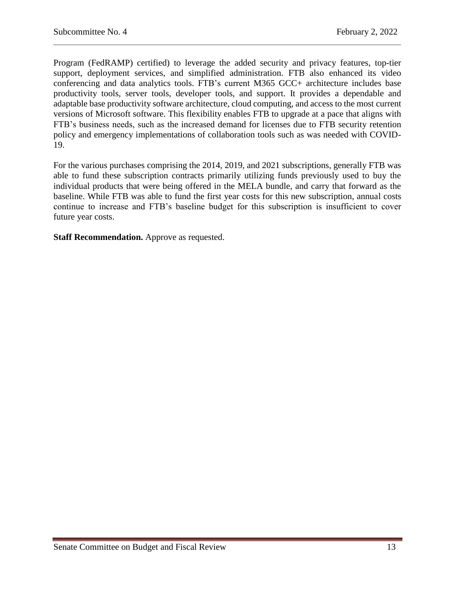Program (FedRAMP) certified) to leverage the added security and privacy features, top-tier support, deployment services, and simplified administration. FTB also enhanced its video conferencing and data analytics tools. FTB's current M365 GCC+ architecture includes base productivity tools, server tools, developer tools, and support. It provides a dependable and adaptable base productivity software architecture, cloud computing, and access to the most current versions of Microsoft software. This flexibility enables FTB to upgrade at a pace that aligns with FTB's business needs, such as the increased demand for licenses due to FTB security retention policy and emergency implementations of collaboration tools such as was needed with COVID-19.

For the various purchases comprising the 2014, 2019, and 2021 subscriptions, generally FTB was able to fund these subscription contracts primarily utilizing funds previously used to buy the individual products that were being offered in the MELA bundle, and carry that forward as the baseline. While FTB was able to fund the first year costs for this new subscription, annual costs continue to increase and FTB's baseline budget for this subscription is insufficient to cover future year costs.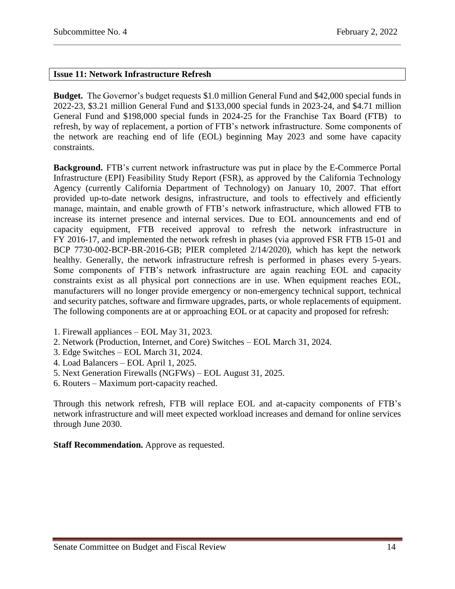## <span id="page-13-0"></span>**Issue 11: Network Infrastructure Refresh**

**Budget.** The Governor's budget requests \$1.0 million General Fund and \$42,000 special funds in 2022-23, \$3.21 million General Fund and \$133,000 special funds in 2023-24, and \$4.71 million General Fund and \$198,000 special funds in 2024-25 for the Franchise Tax Board (FTB) to refresh, by way of replacement, a portion of FTB's network infrastructure. Some components of the network are reaching end of life (EOL) beginning May 2023 and some have capacity constraints.

**Background.** FTB's current network infrastructure was put in place by the E-Commerce Portal Infrastructure (EPI) Feasibility Study Report (FSR), as approved by the California Technology Agency (currently California Department of Technology) on January 10, 2007. That effort provided up-to-date network designs, infrastructure, and tools to effectively and efficiently manage, maintain, and enable growth of FTB's network infrastructure, which allowed FTB to increase its internet presence and internal services. Due to EOL announcements and end of capacity equipment, FTB received approval to refresh the network infrastructure in FY 2016-17, and implemented the network refresh in phases (via approved FSR FTB 15-01 and BCP 7730-002-BCP-BR-2016-GB; PIER completed 2/14/2020), which has kept the network healthy. Generally, the network infrastructure refresh is performed in phases every 5-years. Some components of FTB's network infrastructure are again reaching EOL and capacity constraints exist as all physical port connections are in use. When equipment reaches EOL, manufacturers will no longer provide emergency or non-emergency technical support, technical and security patches, software and firmware upgrades, parts, or whole replacements of equipment. The following components are at or approaching EOL or at capacity and proposed for refresh:

- 1. Firewall appliances EOL May 31, 2023.
- 2. Network (Production, Internet, and Core) Switches EOL March 31, 2024.
- 3. Edge Switches EOL March 31, 2024.
- 4. Load Balancers EOL April 1, 2025.
- 5. Next Generation Firewalls (NGFWs) EOL August 31, 2025.
- 6. Routers Maximum port-capacity reached.

Through this network refresh, FTB will replace EOL and at-capacity components of FTB's network infrastructure and will meet expected workload increases and demand for online services through June 2030.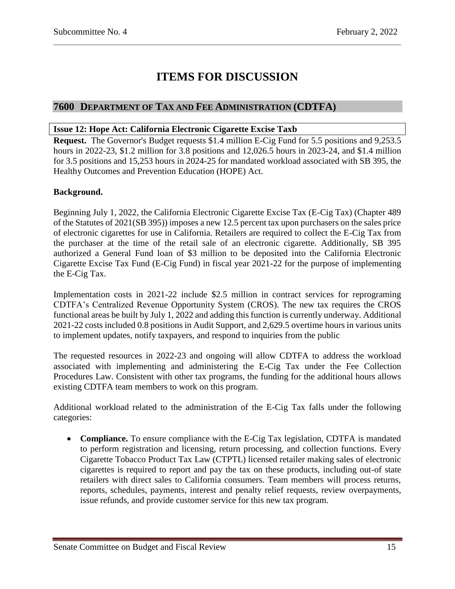# **ITEMS FOR DISCUSSION**

# <span id="page-14-0"></span>**7600 DEPARTMENT OF TAX AND FEE ADMINISTRATION (CDTFA)**

## <span id="page-14-1"></span>**Issue 12: Hope Act: California Electronic Cigarette Excise Taxb**

**Request.** The Governor's Budget requests \$1.4 million E-Cig Fund for 5.5 positions and 9,253.5 hours in 2022-23, \$1.2 million for 3.8 positions and 12,026.5 hours in 2023-24, and \$1.4 million for 3.5 positions and 15,253 hours in 2024-25 for mandated workload associated with SB 395, the Healthy Outcomes and Prevention Education (HOPE) Act.

## **Background.**

Beginning July 1, 2022, the California Electronic Cigarette Excise Tax (E-Cig Tax) (Chapter 489 of the Statutes of 2021(SB 395)) imposes a new 12.5 percent tax upon purchasers on the sales price of electronic cigarettes for use in California. Retailers are required to collect the E-Cig Tax from the purchaser at the time of the retail sale of an electronic cigarette. Additionally, SB 395 authorized a General Fund loan of \$3 million to be deposited into the California Electronic Cigarette Excise Tax Fund (E-Cig Fund) in fiscal year 2021-22 for the purpose of implementing the E-Cig Tax.

Implementation costs in 2021-22 include \$2.5 million in contract services for reprograming CDTFA's Centralized Revenue Opportunity System (CROS). The new tax requires the CROS functional areas be built by July 1, 2022 and adding this function is currently underway. Additional 2021-22 costs included 0.8 positions in Audit Support, and 2,629.5 overtime hours in various units to implement updates, notify taxpayers, and respond to inquiries from the public

The requested resources in 2022-23 and ongoing will allow CDTFA to address the workload associated with implementing and administering the E-Cig Tax under the Fee Collection Procedures Law. Consistent with other tax programs, the funding for the additional hours allows existing CDTFA team members to work on this program.

Additional workload related to the administration of the E-Cig Tax falls under the following categories:

 **Compliance.** To ensure compliance with the E-Cig Tax legislation, CDTFA is mandated to perform registration and licensing, return processing, and collection functions. Every Cigarette Tobacco Product Tax Law (CTPTL) licensed retailer making sales of electronic cigarettes is required to report and pay the tax on these products, including out-of state retailers with direct sales to California consumers. Team members will process returns, reports, schedules, payments, interest and penalty relief requests, review overpayments, issue refunds, and provide customer service for this new tax program.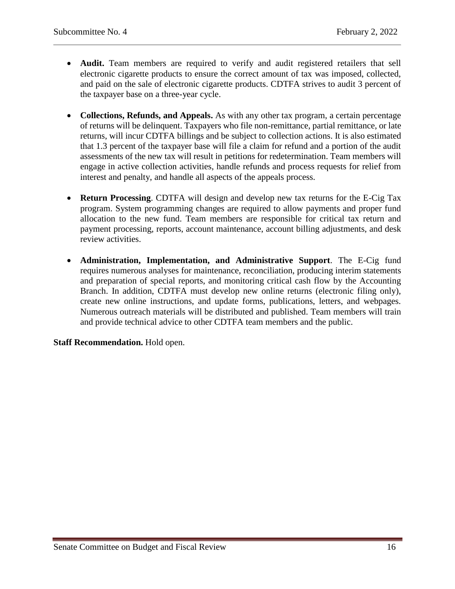- **Audit.** Team members are required to verify and audit registered retailers that sell electronic cigarette products to ensure the correct amount of tax was imposed, collected, and paid on the sale of electronic cigarette products. CDTFA strives to audit 3 percent of the taxpayer base on a three-year cycle.
- **Collections, Refunds, and Appeals.** As with any other tax program, a certain percentage of returns will be delinquent. Taxpayers who file non-remittance, partial remittance, or late returns, will incur CDTFA billings and be subject to collection actions. It is also estimated that 1.3 percent of the taxpayer base will file a claim for refund and a portion of the audit assessments of the new tax will result in petitions for redetermination. Team members will engage in active collection activities, handle refunds and process requests for relief from interest and penalty, and handle all aspects of the appeals process.
- **Return Processing**. CDTFA will design and develop new tax returns for the E-Cig Tax program. System programming changes are required to allow payments and proper fund allocation to the new fund. Team members are responsible for critical tax return and payment processing, reports, account maintenance, account billing adjustments, and desk review activities.
- **Administration, Implementation, and Administrative Support**. The E-Cig fund requires numerous analyses for maintenance, reconciliation, producing interim statements and preparation of special reports, and monitoring critical cash flow by the Accounting Branch. In addition, CDTFA must develop new online returns (electronic filing only), create new online instructions, and update forms, publications, letters, and webpages. Numerous outreach materials will be distributed and published. Team members will train and provide technical advice to other CDTFA team members and the public.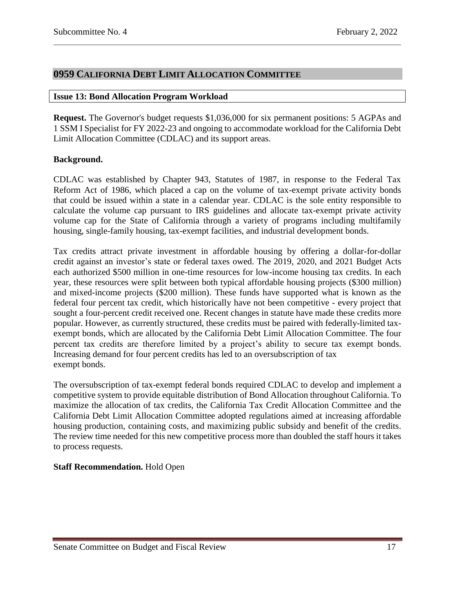# <span id="page-16-0"></span>**0959 CALIFORNIA DEBT LIMIT ALLOCATION COMMITTEE**

#### <span id="page-16-1"></span>**Issue 13: Bond Allocation Program Workload**

**Request.** The Governor's budget requests \$1,036,000 for six permanent positions: 5 AGPAs and 1 SSM I Specialist for FY 2022-23 and ongoing to accommodate workload for the California Debt Limit Allocation Committee (CDLAC) and its support areas.

## **Background.**

CDLAC was established by Chapter 943, Statutes of 1987, in response to the Federal Tax Reform Act of 1986, which placed a cap on the volume of tax-exempt private activity bonds that could be issued within a state in a calendar year. CDLAC is the sole entity responsible to calculate the volume cap pursuant to IRS guidelines and allocate tax-exempt private activity volume cap for the State of California through a variety of programs including multifamily housing, single-family housing, tax-exempt facilities, and industrial development bonds.

Tax credits attract private investment in affordable housing by offering a dollar-for-dollar credit against an investor's state or federal taxes owed. The 2019, 2020, and 2021 Budget Acts each authorized \$500 million in one-time resources for low-income housing tax credits. In each year, these resources were split between both typical affordable housing projects (\$300 million) and mixed-income projects (\$200 million). These funds have supported what is known as the federal four percent tax credit, which historically have not been competitive - every project that sought a four-percent credit received one. Recent changes in statute have made these credits more popular. However, as currently structured, these credits must be paired with federally-limited taxexempt bonds, which are allocated by the California Debt Limit Allocation Committee. The four percent tax credits are therefore limited by a project's ability to secure tax exempt bonds. Increasing demand for four percent credits has led to an oversubscription of tax exempt bonds.

The oversubscription of tax-exempt federal bonds required CDLAC to develop and implement a competitive system to provide equitable distribution of Bond Allocation throughout California. To maximize the allocation of tax credits, the California Tax Credit Allocation Committee and the California Debt Limit Allocation Committee adopted regulations aimed at increasing affordable housing production, containing costs, and maximizing public subsidy and benefit of the credits. The review time needed for this new competitive process more than doubled the staff hours it takes to process requests.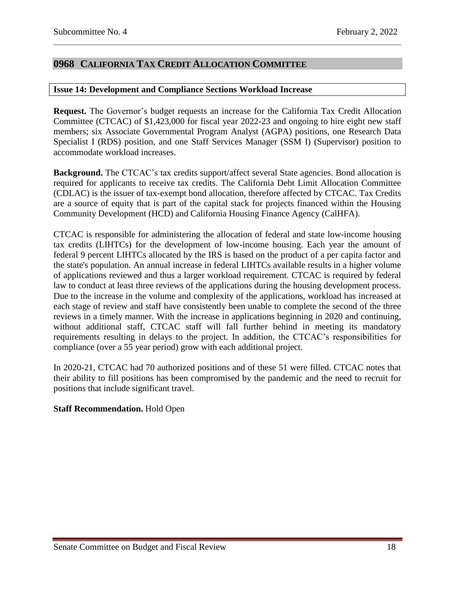# <span id="page-17-0"></span>**0968 CALIFORNIA TAX CREDIT ALLOCATION COMMITTEE**

#### <span id="page-17-1"></span>**Issue 14: Development and Compliance Sections Workload Increase**

**Request.** The Governor's budget requests an increase for the California Tax Credit Allocation Committee (CTCAC) of \$1,423,000 for fiscal year 2022-23 and ongoing to hire eight new staff members; six Associate Governmental Program Analyst (AGPA) positions, one Research Data Specialist I (RDS) position, and one Staff Services Manager (SSM I) (Supervisor) position to accommodate workload increases.

**Background.** The CTCAC's tax credits support/affect several State agencies. Bond allocation is required for applicants to receive tax credits. The California Debt Limit Allocation Committee (CDLAC) is the issuer of tax-exempt bond allocation, therefore affected by CTCAC. Tax Credits are a source of equity that is part of the capital stack for projects financed within the Housing Community Development (HCD) and California Housing Finance Agency (CalHFA).

CTCAC is responsible for administering the allocation of federal and state low-income housing tax credits (LIHTCs) for the development of low-income housing. Each year the amount of federal 9 percent LIHTCs allocated by the IRS is based on the product of a per capita factor and the state's population. An annual increase in federal LIHTCs available results in a higher volume of applications reviewed and thus a larger workload requirement. CTCAC is required by federal law to conduct at least three reviews of the applications during the housing development process. Due to the increase in the volume and complexity of the applications, workload has increased at each stage of review and staff have consistently been unable to complete the second of the three reviews in a timely manner. With the increase in applications beginning in 2020 and continuing, without additional staff, CTCAC staff will fall further behind in meeting its mandatory requirements resulting in delays to the project. In addition, the CTCAC's responsibilities for compliance (over a 55 year period) grow with each additional project.

In 2020-21, CTCAC had 70 authorized positions and of these 51 were filled. CTCAC notes that their ability to fill positions has been compromised by the pandemic and the need to recruit for positions that include significant travel.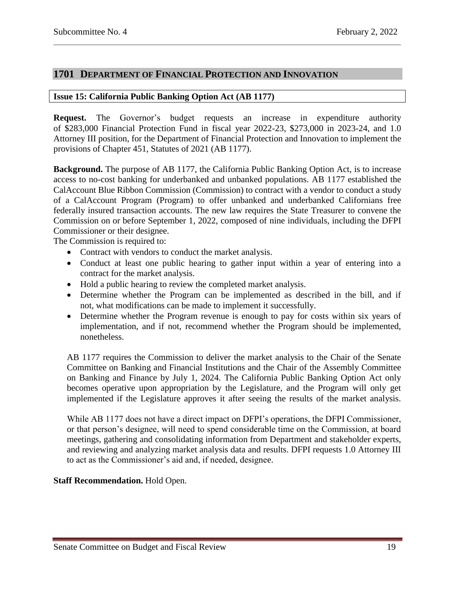## <span id="page-18-0"></span>**1701 DEPARTMENT OF FINANCIAL PROTECTION AND INNOVATION**

## <span id="page-18-1"></span>**Issue 15: California Public Banking Option Act (AB 1177)**

**Request.** The Governor's budget requests an increase in expenditure authority of \$283,000 Financial Protection Fund in fiscal year 2022-23, \$273,000 in 2023-24, and 1.0 Attorney III position, for the Department of Financial Protection and Innovation to implement the provisions of Chapter 451, Statutes of 2021 (AB 1177).

**Background.** The purpose of AB 1177, the California Public Banking Option Act, is to increase access to no-cost banking for underbanked and unbanked populations. AB 1177 established the CalAccount Blue Ribbon Commission (Commission) to contract with a vendor to conduct a study of a CalAccount Program (Program) to offer unbanked and underbanked Californians free federally insured transaction accounts. The new law requires the State Treasurer to convene the Commission on or before September 1, 2022, composed of nine individuals, including the DFPI Commissioner or their designee.

The Commission is required to:

- Contract with vendors to conduct the market analysis.
- Conduct at least one public hearing to gather input within a year of entering into a contract for the market analysis.
- Hold a public hearing to review the completed market analysis.
- Determine whether the Program can be implemented as described in the bill, and if not, what modifications can be made to implement it successfully.
- Determine whether the Program revenue is enough to pay for costs within six years of implementation, and if not, recommend whether the Program should be implemented, nonetheless.

AB 1177 requires the Commission to deliver the market analysis to the Chair of the Senate Committee on Banking and Financial Institutions and the Chair of the Assembly Committee on Banking and Finance by July 1, 2024. The California Public Banking Option Act only becomes operative upon appropriation by the Legislature, and the Program will only get implemented if the Legislature approves it after seeing the results of the market analysis.

While AB 1177 does not have a direct impact on DFPI's operations, the DFPI Commissioner, or that person's designee, will need to spend considerable time on the Commission, at board meetings, gathering and consolidating information from Department and stakeholder experts, and reviewing and analyzing market analysis data and results. DFPI requests 1.0 Attorney III to act as the Commissioner's aid and, if needed, designee.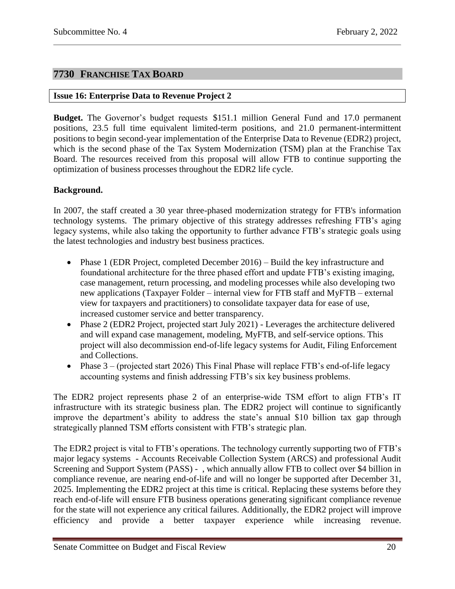# <span id="page-19-0"></span>**7730 FRANCHISE TAX BOARD**

## <span id="page-19-1"></span>**Issue 16: Enterprise Data to Revenue Project 2**

**Budget.** The Governor's budget requests \$151.1 million General Fund and 17.0 permanent positions, 23.5 full time equivalent limited-term positions, and 21.0 permanent-intermittent positions to begin second-year implementation of the Enterprise Data to Revenue (EDR2) project, which is the second phase of the Tax System Modernization (TSM) plan at the Franchise Tax Board. The resources received from this proposal will allow FTB to continue supporting the optimization of business processes throughout the EDR2 life cycle.

## **Background.**

In 2007, the staff created a 30 year three-phased modernization strategy for FTB's information technology systems. The primary objective of this strategy addresses refreshing FTB's aging legacy systems, while also taking the opportunity to further advance FTB's strategic goals using the latest technologies and industry best business practices.

- Phase 1 (EDR Project, completed December 2016) Build the key infrastructure and foundational architecture for the three phased effort and update FTB's existing imaging, case management, return processing, and modeling processes while also developing two new applications (Taxpayer Folder – internal view for FTB staff and MyFTB – external view for taxpayers and practitioners) to consolidate taxpayer data for ease of use, increased customer service and better transparency.
- Phase 2 (EDR2 Project, projected start July 2021) Leverages the architecture delivered and will expand case management, modeling, MyFTB, and self-service options. This project will also decommission end-of-life legacy systems for Audit, Filing Enforcement and Collections.
- Phase  $3 -$  (projected start 2026) This Final Phase will replace FTB's end-of-life legacy accounting systems and finish addressing FTB's six key business problems.

The EDR2 project represents phase 2 of an enterprise-wide TSM effort to align FTB's IT infrastructure with its strategic business plan. The EDR2 project will continue to significantly improve the department's ability to address the state's annual \$10 billion tax gap through strategically planned TSM efforts consistent with FTB's strategic plan.

The EDR2 project is vital to FTB's operations. The technology currently supporting two of FTB's major legacy systems - Accounts Receivable Collection System (ARCS) and professional Audit Screening and Support System (PASS) - , which annually allow FTB to collect over \$4 billion in compliance revenue, are nearing end-of-life and will no longer be supported after December 31, 2025. Implementing the EDR2 project at this time is critical. Replacing these systems before they reach end-of-life will ensure FTB business operations generating significant compliance revenue for the state will not experience any critical failures. Additionally, the EDR2 project will improve efficiency and provide a better taxpayer experience while increasing revenue.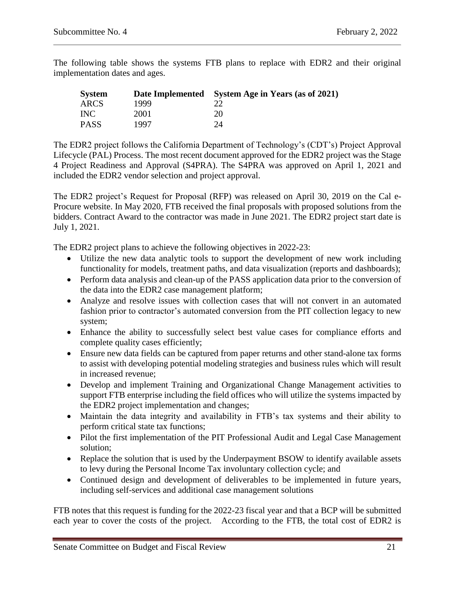The following table shows the systems FTB plans to replace with EDR2 and their original implementation dates and ages.

| <b>System</b> |      | Date Implemented System Age in Years (as of 2021) |
|---------------|------|---------------------------------------------------|
| ARCS          | 1999 |                                                   |
| <b>INC</b>    | 2001 | 20                                                |
| <b>PASS</b>   | 1997 | 24                                                |

The EDR2 project follows the California Department of Technology's (CDT's) Project Approval Lifecycle (PAL) Process. The most recent document approved for the EDR2 project was the Stage 4 Project Readiness and Approval (S4PRA). The S4PRA was approved on April 1, 2021 and included the EDR2 vendor selection and project approval.

The EDR2 project's Request for Proposal (RFP) was released on April 30, 2019 on the Cal e-Procure website. In May 2020, FTB received the final proposals with proposed solutions from the bidders. Contract Award to the contractor was made in June 2021. The EDR2 project start date is July 1, 2021.

The EDR2 project plans to achieve the following objectives in 2022-23:

- Utilize the new data analytic tools to support the development of new work including functionality for models, treatment paths, and data visualization (reports and dashboards);
- Perform data analysis and clean-up of the PASS application data prior to the conversion of the data into the EDR2 case management platform;
- Analyze and resolve issues with collection cases that will not convert in an automated fashion prior to contractor's automated conversion from the PIT collection legacy to new system;
- Enhance the ability to successfully select best value cases for compliance efforts and complete quality cases efficiently;
- Ensure new data fields can be captured from paper returns and other stand-alone tax forms to assist with developing potential modeling strategies and business rules which will result in increased revenue;
- Develop and implement Training and Organizational Change Management activities to support FTB enterprise including the field offices who will utilize the systems impacted by the EDR2 project implementation and changes;
- Maintain the data integrity and availability in FTB's tax systems and their ability to perform critical state tax functions;
- Pilot the first implementation of the PIT Professional Audit and Legal Case Management solution;
- Replace the solution that is used by the Underpayment BSOW to identify available assets to levy during the Personal Income Tax involuntary collection cycle; and
- Continued design and development of deliverables to be implemented in future years, including self-services and additional case management solutions

FTB notes that this request is funding for the 2022-23 fiscal year and that a BCP will be submitted each year to cover the costs of the project. According to the FTB, the total cost of EDR2 is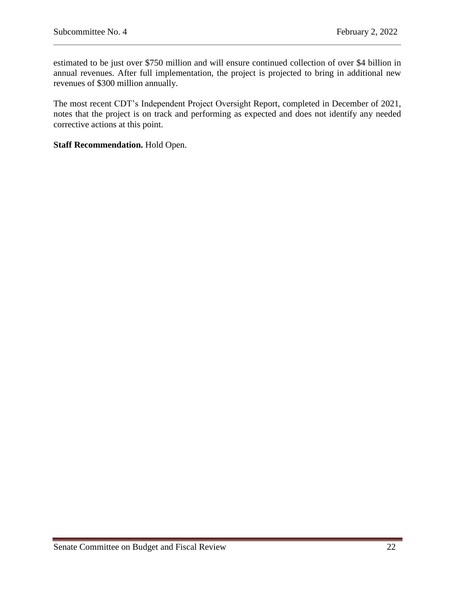estimated to be just over \$750 million and will ensure continued collection of over \$4 billion in annual revenues. After full implementation, the project is projected to bring in additional new revenues of \$300 million annually.

The most recent CDT's Independent Project Oversight Report, completed in December of 2021, notes that the project is on track and performing as expected and does not identify any needed corrective actions at this point.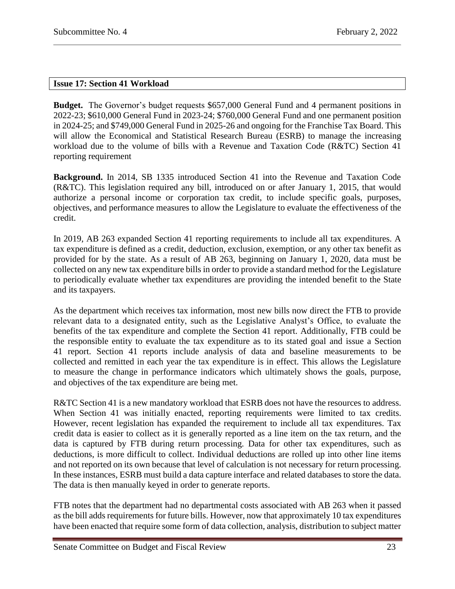## <span id="page-22-0"></span>**Issue 17: Section 41 Workload**

**Budget.** The Governor's budget requests \$657,000 General Fund and 4 permanent positions in 2022-23; \$610,000 General Fund in 2023-24; \$760,000 General Fund and one permanent position in 2024-25; and \$749,000 General Fund in 2025-26 and ongoing for the Franchise Tax Board. This will allow the Economical and Statistical Research Bureau (ESRB) to manage the increasing workload due to the volume of bills with a Revenue and Taxation Code (R&TC) Section 41 reporting requirement

**Background.** In 2014, SB 1335 introduced Section 41 into the Revenue and Taxation Code (R&TC). This legislation required any bill, introduced on or after January 1, 2015, that would authorize a personal income or corporation tax credit, to include specific goals, purposes, objectives, and performance measures to allow the Legislature to evaluate the effectiveness of the credit.

In 2019, AB 263 expanded Section 41 reporting requirements to include all tax expenditures. A tax expenditure is defined as a credit, deduction, exclusion, exemption, or any other tax benefit as provided for by the state. As a result of AB 263, beginning on January 1, 2020, data must be collected on any new tax expenditure bills in order to provide a standard method for the Legislature to periodically evaluate whether tax expenditures are providing the intended benefit to the State and its taxpayers.

As the department which receives tax information, most new bills now direct the FTB to provide relevant data to a designated entity, such as the Legislative Analyst's Office, to evaluate the benefits of the tax expenditure and complete the Section 41 report. Additionally, FTB could be the responsible entity to evaluate the tax expenditure as to its stated goal and issue a Section 41 report. Section 41 reports include analysis of data and baseline measurements to be collected and remitted in each year the tax expenditure is in effect. This allows the Legislature to measure the change in performance indicators which ultimately shows the goals, purpose, and objectives of the tax expenditure are being met.

R&TC Section 41 is a new mandatory workload that ESRB does not have the resources to address. When Section 41 was initially enacted, reporting requirements were limited to tax credits. However, recent legislation has expanded the requirement to include all tax expenditures. Tax credit data is easier to collect as it is generally reported as a line item on the tax return, and the data is captured by FTB during return processing. Data for other tax expenditures, such as deductions, is more difficult to collect. Individual deductions are rolled up into other line items and not reported on its own because that level of calculation is not necessary for return processing. In these instances, ESRB must build a data capture interface and related databases to store the data. The data is then manually keyed in order to generate reports.

FTB notes that the department had no departmental costs associated with AB 263 when it passed as the bill adds requirements for future bills. However, now that approximately 10 tax expenditures have been enacted that require some form of data collection, analysis, distribution to subject matter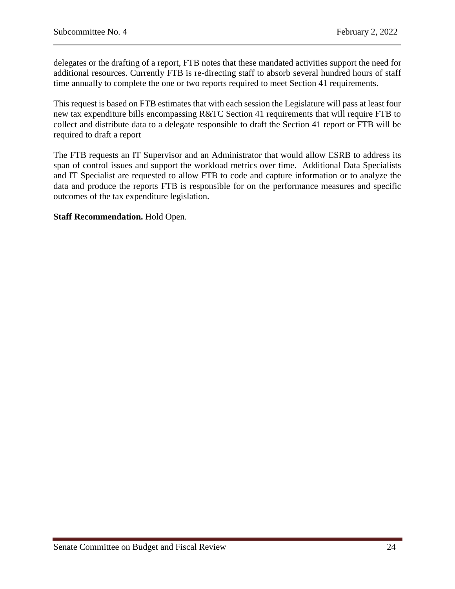delegates or the drafting of a report, FTB notes that these mandated activities support the need for additional resources. Currently FTB is re-directing staff to absorb several hundred hours of staff time annually to complete the one or two reports required to meet Section 41 requirements.

This request is based on FTB estimates that with each session the Legislature will pass at least four new tax expenditure bills encompassing R&TC Section 41 requirements that will require FTB to collect and distribute data to a delegate responsible to draft the Section 41 report or FTB will be required to draft a report

The FTB requests an IT Supervisor and an Administrator that would allow ESRB to address its span of control issues and support the workload metrics over time. Additional Data Specialists and IT Specialist are requested to allow FTB to code and capture information or to analyze the data and produce the reports FTB is responsible for on the performance measures and specific outcomes of the tax expenditure legislation.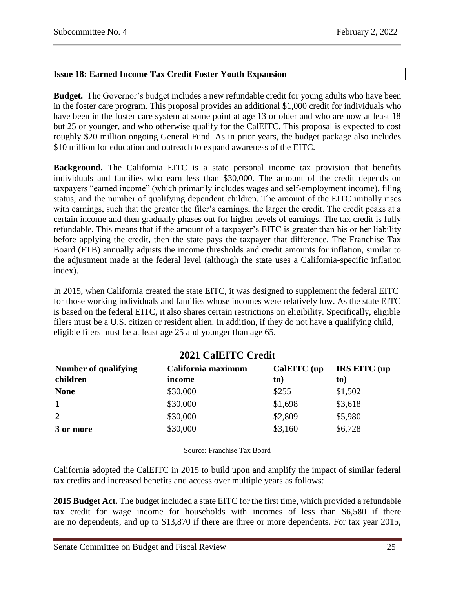## <span id="page-24-0"></span>**Issue 18: Earned Income Tax Credit Foster Youth Expansion**

**Budget.** The Governor's budget includes a new refundable credit for young adults who have been in the foster care program. This proposal provides an additional \$1,000 credit for individuals who have been in the foster care system at some point at age 13 or older and who are now at least 18 but 25 or younger, and who otherwise qualify for the CalEITC. This proposal is expected to cost roughly \$20 million ongoing General Fund. As in prior years, the budget package also includes \$10 million for education and outreach to expand awareness of the EITC.

**Background.** The California EITC is a state personal income tax provision that benefits individuals and families who earn less than \$30,000. The amount of the credit depends on taxpayers "earned income" (which primarily includes wages and self-employment income), filing status, and the number of qualifying dependent children. The amount of the EITC initially rises with earnings, such that the greater the filer's earnings, the larger the credit. The credit peaks at a certain income and then gradually phases out for higher levels of earnings. The tax credit is fully refundable. This means that if the amount of a taxpayer's EITC is greater than his or her liability before applying the credit, then the state pays the taxpayer that difference. The Franchise Tax Board (FTB) annually adjusts the income thresholds and credit amounts for inflation, similar to the adjustment made at the federal level (although the state uses a California-specific inflation index).

In 2015, when California created the state EITC, it was designed to supplement the federal EITC for those working individuals and families whose incomes were relatively low. As the state EITC is based on the federal EITC, it also shares certain restrictions on eligibility. Specifically, eligible filers must be a U.S. citizen or resident alien. In addition, if they do not have a qualifying child, eligible filers must be at least age 25 and younger than age 65.

# **2021 CalEITC Credit**

| Number of qualifying<br>children | California maximum<br>income | CalEITC (up<br>to) | <b>IRS EITC</b> (up<br>to) |
|----------------------------------|------------------------------|--------------------|----------------------------|
| <b>None</b>                      | \$30,000                     | \$255              | \$1,502                    |
| $\mathbf 1$                      | \$30,000                     | \$1,698            | \$3,618                    |
| $\overline{2}$                   | \$30,000                     | \$2,809            | \$5,980                    |
| 3 or more                        | \$30,000                     | \$3,160            | \$6,728                    |

Source: Franchise Tax Board

California adopted the CalEITC in 2015 to build upon and amplify the impact of similar federal tax credits and increased benefits and access over multiple years as follows:

**2015 Budget Act.** The budget included a state EITC for the first time, which provided a refundable tax credit for wage income for households with incomes of less than \$6,580 if there are no dependents, and up to \$13,870 if there are three or more dependents. For tax year 2015,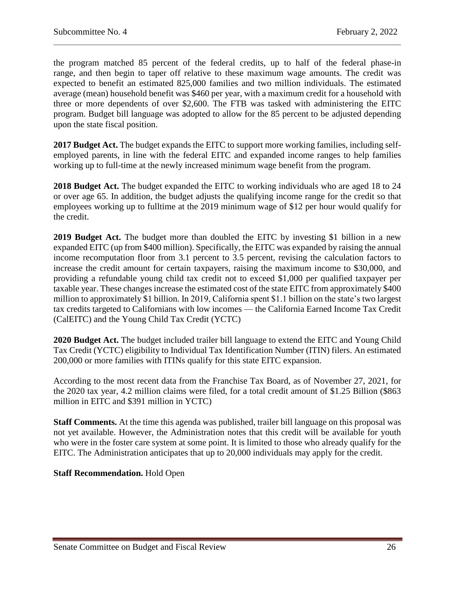the program matched 85 percent of the federal credits, up to half of the federal phase-in range, and then begin to taper off relative to these maximum wage amounts. The credit was expected to benefit an estimated 825,000 families and two million individuals. The estimated average (mean) household benefit was \$460 per year, with a maximum credit for a household with three or more dependents of over \$2,600. The FTB was tasked with administering the EITC program. Budget bill language was adopted to allow for the 85 percent to be adjusted depending upon the state fiscal position.

**2017 Budget Act.** The budget expands the EITC to support more working families, including selfemployed parents, in line with the federal EITC and expanded income ranges to help families working up to full-time at the newly increased minimum wage benefit from the program.

**2018 Budget Act.** The budget expanded the EITC to working individuals who are aged 18 to 24 or over age 65. In addition, the budget adjusts the qualifying income range for the credit so that employees working up to fulltime at the 2019 minimum wage of \$12 per hour would qualify for the credit.

**2019 Budget Act.** The budget more than doubled the EITC by investing \$1 billion in a new expanded EITC (up from \$400 million). Specifically, the EITC was expanded by raising the annual income recomputation floor from 3.1 percent to 3.5 percent, revising the calculation factors to increase the credit amount for certain taxpayers, raising the maximum income to \$30,000, and providing a refundable young child tax credit not to exceed \$1,000 per qualified taxpayer per taxable year. These changes increase the estimated cost of the state EITC from approximately \$400 million to approximately \$1 billion. In 2019, California spent \$1.1 billion on the state's two largest tax credits targeted to Californians with low incomes — the California Earned Income Tax Credit (CalEITC) and the Young Child Tax Credit (YCTC)

**2020 Budget Act.** The budget included trailer bill language to extend the EITC and Young Child Tax Credit (YCTC) eligibility to Individual Tax Identification Number (ITIN) filers. An estimated 200,000 or more families with ITINs qualify for this state EITC expansion.

According to the most recent data from the Franchise Tax Board, as of November 27, 2021, for the 2020 tax year, 4.2 million claims were filed, for a total credit amount of \$1.25 Billion (\$863 million in EITC and \$391 million in YCTC)

**Staff Comments.** At the time this agenda was published, trailer bill language on this proposal was not yet available. However, the Administration notes that this credit will be available for youth who were in the foster care system at some point. It is limited to those who already qualify for the EITC. The Administration anticipates that up to 20,000 individuals may apply for the credit.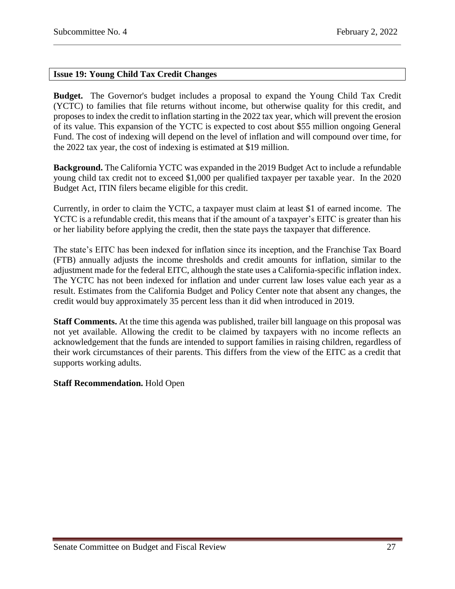## <span id="page-26-0"></span>**Issue 19: Young Child Tax Credit Changes**

**Budget.** The Governor's budget includes a proposal to expand the Young Child Tax Credit (YCTC) to families that file returns without income, but otherwise quality for this credit, and proposes to index the credit to inflation starting in the 2022 tax year, which will prevent the erosion of its value. This expansion of the YCTC is expected to cost about \$55 million ongoing General Fund. The cost of indexing will depend on the level of inflation and will compound over time, for the 2022 tax year, the cost of indexing is estimated at \$19 million.

**Background.** The California YCTC was expanded in the 2019 Budget Act to include a refundable young child tax credit not to exceed \$1,000 per qualified taxpayer per taxable year. In the 2020 Budget Act, ITIN filers became eligible for this credit.

Currently, in order to claim the YCTC, a taxpayer must claim at least \$1 of earned income. The YCTC is a refundable credit, this means that if the amount of a taxpayer's EITC is greater than his or her liability before applying the credit, then the state pays the taxpayer that difference.

The state's EITC has been indexed for inflation since its inception, and the Franchise Tax Board (FTB) annually adjusts the income thresholds and credit amounts for inflation, similar to the adjustment made for the federal EITC, although the state uses a California-specific inflation index. The YCTC has not been indexed for inflation and under current law loses value each year as a result. Estimates from the California Budget and Policy Center note that absent any changes, the credit would buy approximately 35 percent less than it did when introduced in 2019.

**Staff Comments.** At the time this agenda was published, trailer bill language on this proposal was not yet available. Allowing the credit to be claimed by taxpayers with no income reflects an acknowledgement that the funds are intended to support families in raising children, regardless of their work circumstances of their parents. This differs from the view of the EITC as a credit that supports working adults.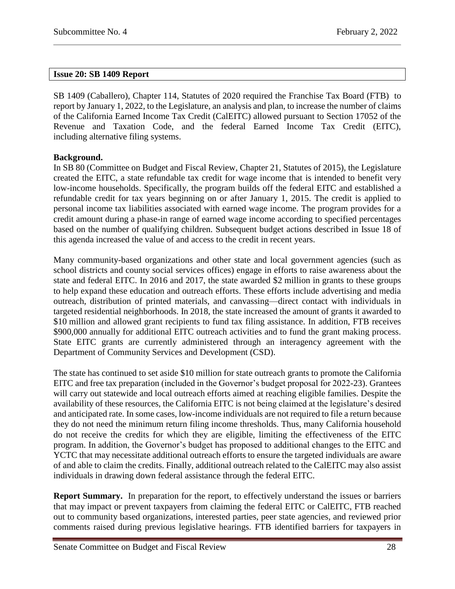## <span id="page-27-0"></span>**Issue 20: SB 1409 Report**

SB 1409 (Caballero), Chapter 114, Statutes of 2020 required the Franchise Tax Board (FTB) to report by January 1, 2022, to the Legislature, an analysis and plan, to increase the number of claims of the California Earned Income Tax Credit (CalEITC) allowed pursuant to Section 17052 of the Revenue and Taxation Code, and the federal Earned Income Tax Credit (EITC), including alternative filing systems.

## **Background.**

In SB 80 (Committee on Budget and Fiscal Review, Chapter 21, Statutes of 2015), the Legislature created the EITC, a state refundable tax credit for wage income that is intended to benefit very low-income households. Specifically, the program builds off the federal EITC and established a refundable credit for tax years beginning on or after January 1, 2015. The credit is applied to personal income tax liabilities associated with earned wage income. The program provides for a credit amount during a phase-in range of earned wage income according to specified percentages based on the number of qualifying children. Subsequent budget actions described in Issue 18 of this agenda increased the value of and access to the credit in recent years.

Many community-based organizations and other state and local government agencies (such as school districts and county social services offices) engage in efforts to raise awareness about the state and federal EITC. In 2016 and 2017, the state awarded \$2 million in grants to these groups to help expand these education and outreach efforts. These efforts include advertising and media outreach, distribution of printed materials, and canvassing—direct contact with individuals in targeted residential neighborhoods. In 2018, the state increased the amount of grants it awarded to \$10 million and allowed grant recipients to fund tax filing assistance. In addition, FTB receives \$900,000 annually for additional EITC outreach activities and to fund the grant making process. State EITC grants are currently administered through an interagency agreement with the Department of Community Services and Development (CSD).

The state has continued to set aside \$10 million for state outreach grants to promote the California EITC and free tax preparation (included in the Governor's budget proposal for 2022-23). Grantees will carry out statewide and local outreach efforts aimed at reaching eligible families. Despite the availability of these resources, the California EITC is not being claimed at the legislature's desired and anticipated rate. In some cases, low-income individuals are not required to file a return because they do not need the minimum return filing income thresholds. Thus, many California household do not receive the credits for which they are eligible, limiting the effectiveness of the EITC program. In addition, the Governor's budget has proposed to additional changes to the EITC and YCTC that may necessitate additional outreach efforts to ensure the targeted individuals are aware of and able to claim the credits. Finally, additional outreach related to the CalEITC may also assist individuals in drawing down federal assistance through the federal EITC.

**Report Summary.** In preparation for the report, to effectively understand the issues or barriers that may impact or prevent taxpayers from claiming the federal EITC or CalEITC, FTB reached out to community based organizations, interested parties, peer state agencies, and reviewed prior comments raised during previous legislative hearings. FTB identified barriers for taxpayers in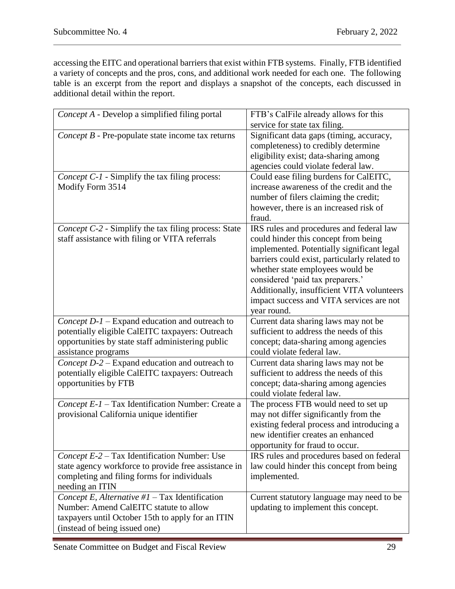accessing the EITC and operational barriers that exist within FTB systems. Finally, FTB identified a variety of concepts and the pros, cons, and additional work needed for each one. The following table is an excerpt from the report and displays a snapshot of the concepts, each discussed in additional detail within the report.

| Concept A - Develop a simplified filing portal                                                                                                                                   | FTB's CalFile already allows for this<br>service for state tax filing.                                                                                                                                                                                                                                                                                           |
|----------------------------------------------------------------------------------------------------------------------------------------------------------------------------------|------------------------------------------------------------------------------------------------------------------------------------------------------------------------------------------------------------------------------------------------------------------------------------------------------------------------------------------------------------------|
| Concept B - Pre-populate state income tax returns                                                                                                                                | Significant data gaps (timing, accuracy,<br>completeness) to credibly determine<br>eligibility exist; data-sharing among<br>agencies could violate federal law.                                                                                                                                                                                                  |
| Concept C-1 - Simplify the tax filing process:<br>Modify Form 3514                                                                                                               | Could ease filing burdens for CalEITC,<br>increase awareness of the credit and the<br>number of filers claiming the credit;<br>however, there is an increased risk of<br>fraud.                                                                                                                                                                                  |
| Concept C-2 - Simplify the tax filing process: State<br>staff assistance with filing or VITA referrals                                                                           | IRS rules and procedures and federal law<br>could hinder this concept from being<br>implemented. Potentially significant legal<br>barriers could exist, particularly related to<br>whether state employees would be<br>considered 'paid tax preparers.'<br>Additionally, insufficient VITA volunteers<br>impact success and VITA services are not<br>year round. |
| Concept $D-I$ – Expand education and outreach to<br>potentially eligible CalEITC taxpayers: Outreach<br>opportunities by state staff administering public<br>assistance programs | Current data sharing laws may not be<br>sufficient to address the needs of this<br>concept; data-sharing among agencies<br>could violate federal law.                                                                                                                                                                                                            |
| Concept D-2 – Expand education and outreach to<br>potentially eligible CalEITC taxpayers: Outreach<br>opportunities by FTB                                                       | Current data sharing laws may not be<br>sufficient to address the needs of this<br>concept; data-sharing among agencies<br>could violate federal law.                                                                                                                                                                                                            |
| Concept E-1 - Tax Identification Number: Create a<br>provisional California unique identifier                                                                                    | The process FTB would need to set up<br>may not differ significantly from the<br>existing federal process and introducing a<br>new identifier creates an enhanced<br>opportunity for fraud to occur.                                                                                                                                                             |
| Concept E-2 – Tax Identification Number: Use<br>state agency workforce to provide free assistance in<br>completing and filing forms for individuals<br>needing an ITIN           | IRS rules and procedures based on federal<br>law could hinder this concept from being<br>implemented.                                                                                                                                                                                                                                                            |
| Concept E, Alternative $#1$ – Tax Identification<br>Number: Amend CalEITC statute to allow<br>taxpayers until October 15th to apply for an ITIN<br>(instead of being issued one) | Current statutory language may need to be<br>updating to implement this concept.                                                                                                                                                                                                                                                                                 |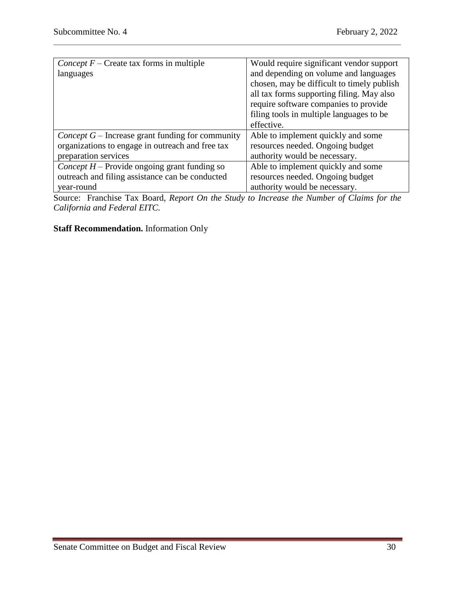| <i>Concept F</i> – Create tax forms in multiple                                    | Would require significant vendor support   |  |
|------------------------------------------------------------------------------------|--------------------------------------------|--|
| languages                                                                          | and depending on volume and languages      |  |
|                                                                                    | chosen, may be difficult to timely publish |  |
|                                                                                    | all tax forms supporting filing. May also  |  |
|                                                                                    | require software companies to provide      |  |
|                                                                                    | filing tools in multiple languages to be   |  |
|                                                                                    | effective.                                 |  |
| <i>Concept</i> $G$ – Increase grant funding for community                          | Able to implement quickly and some         |  |
| organizations to engage in outreach and free tax                                   | resources needed. Ongoing budget           |  |
| preparation services                                                               | authority would be necessary.              |  |
| Concept $H$ – Provide ongoing grant funding so                                     | Able to implement quickly and some         |  |
| outreach and filing assistance can be conducted                                    | resources needed. Ongoing budget           |  |
| year-round                                                                         | authority would be necessary.              |  |
| $\cdot$<br>$\mathbf{1}$ $\mathbf{R}$<br>$\mathbf{r}$<br><sub>n</sub><br>$\sqrt{ }$ |                                            |  |

Source: Franchise Tax Board, *Report On the Study to Increase the Number of Claims for the California and Federal EITC.*

# **Staff Recommendation.** Information Only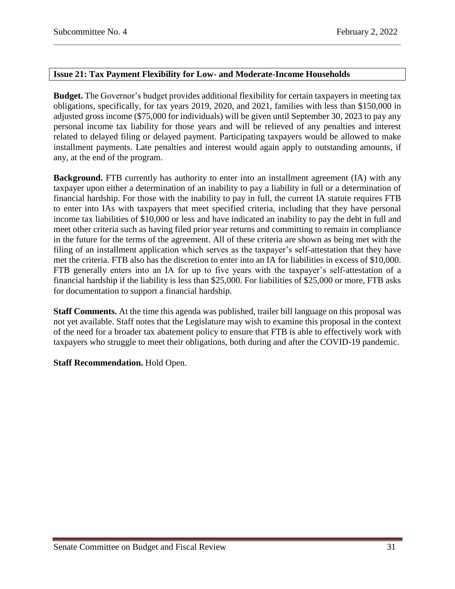## <span id="page-30-0"></span>**Issue 21: Tax Payment Flexibility for Low- and Moderate-Income Households**

**Budget.** The Governor's budget provides additional flexibility for certain taxpayers in meeting tax obligations, specifically, for tax years 2019, 2020, and 2021, families with less than \$150,000 in adjusted gross income (\$75,000 for individuals) will be given until September 30, 2023 to pay any personal income tax liability for those years and will be relieved of any penalties and interest related to delayed filing or delayed payment. Participating taxpayers would be allowed to make installment payments. Late penalties and interest would again apply to outstanding amounts, if any, at the end of the program.

**Background.** FTB currently has authority to enter into an installment agreement (IA) with any taxpayer upon either a determination of an inability to pay a liability in full or a determination of financial hardship. For those with the inability to pay in full, the current IA statute requires FTB to enter into IAs with taxpayers that meet specified criteria, including that they have personal income tax liabilities of \$10,000 or less and have indicated an inability to pay the debt in full and meet other criteria such as having filed prior year returns and committing to remain in compliance in the future for the terms of the agreement. All of these criteria are shown as being met with the filing of an installment application which serves as the taxpayer's self-attestation that they have met the criteria. FTB also has the discretion to enter into an IA for liabilities in excess of \$10,000. FTB generally enters into an IA for up to five years with the taxpayer's self-attestation of a financial hardship if the liability is less than \$25,000. For liabilities of \$25,000 or more, FTB asks for documentation to support a financial hardship.

**Staff Comments.** At the time this agenda was published, trailer bill language on this proposal was not yet available. Staff notes that the Legislature may wish to examine this proposal in the context of the need for a broader tax abatement policy to ensure that FTB is able to effectively work with taxpayers who struggle to meet their obligations, both during and after the COVID-19 pandemic.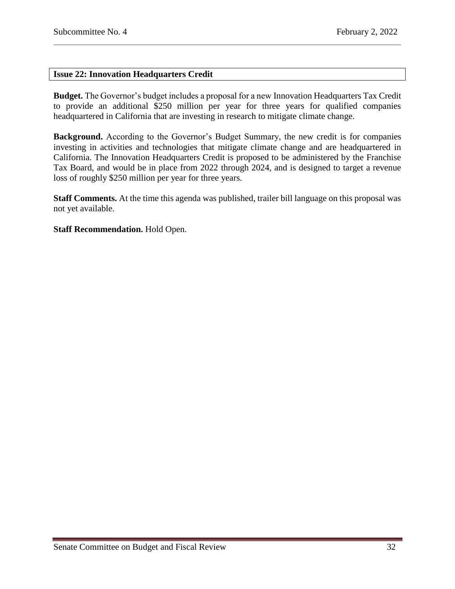## <span id="page-31-0"></span>**Issue 22: Innovation Headquarters Credit**

**Budget.** The Governor's budget includes a proposal for a new Innovation Headquarters Tax Credit to provide an additional \$250 million per year for three years for qualified companies headquartered in California that are investing in research to mitigate climate change.

**Background.** According to the Governor's Budget Summary, the new credit is for companies investing in activities and technologies that mitigate climate change and are headquartered in California. The Innovation Headquarters Credit is proposed to be administered by the Franchise Tax Board, and would be in place from 2022 through 2024, and is designed to target a revenue loss of roughly \$250 million per year for three years.

**Staff Comments.** At the time this agenda was published, trailer bill language on this proposal was not yet available.